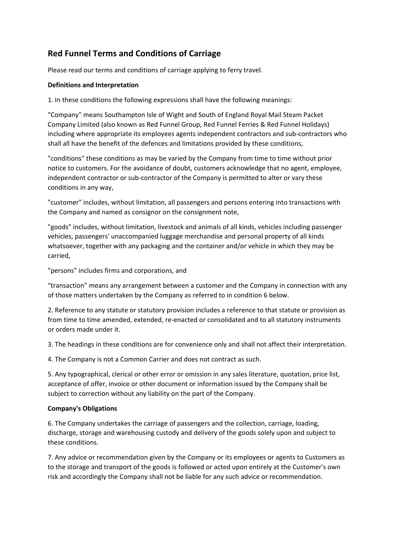# **Red Funnel Terms and Conditions of Carriage**

Please read our terms and conditions of carriage applying to ferry travel.

## **Definitions and Interpretation**

1. In these conditions the following expressions shall have the following meanings:

"Company" means Southampton Isle of Wight and South of England Royal Mail Steam Packet Company Limited (also known as Red Funnel Group, Red Funnel Ferries & Red Funnel Holidays) including where appropriate its employees agents independent contractors and sub‐contractors who shall all have the benefit of the defences and limitations provided by these conditions,

"conditions" these conditions as may be varied by the Company from time to time without prior notice to customers. For the avoidance of doubt, customers acknowledge that no agent, employee, independent contractor or sub-contractor of the Company is permitted to alter or vary these conditions in any way,

"customer" includes, without limitation, all passengers and persons entering into transactions with the Company and named as consignor on the consignment note,

"goods" includes, without limitation, livestock and animals of all kinds, vehicles including passenger vehicles, passengers' unaccompanied luggage merchandise and personal property of all kinds whatsoever, together with any packaging and the container and/or vehicle in which they may be carried,

"persons" includes firms and corporations, and

"transaction" means any arrangement between a customer and the Company in connection with any of those matters undertaken by the Company as referred to in condition 6 below.

2. Reference to any statute or statutory provision includes a reference to that statute or provision as from time to time amended, extended, re-enacted or consolidated and to all statutory instruments or orders made under it.

3. The headings in these conditions are for convenience only and shall not affect their interpretation.

4. The Company is not a Common Carrier and does not contract as such.

5. Any typographical, clerical or other error or omission in any sales literature, quotation, price list, acceptance of offer, invoice or other document or information issued by the Company shall be subject to correction without any liability on the part of the Company.

# **Company's Obligations**

6. The Company undertakes the carriage of passengers and the collection, carriage, loading, discharge, storage and warehousing custody and delivery of the goods solely upon and subject to these conditions.

7. Any advice or recommendation given by the Company or its employees or agents to Customers as to the storage and transport of the goods is followed or acted upon entirely at the Customer's own risk and accordingly the Company shall not be liable for any such advice or recommendation.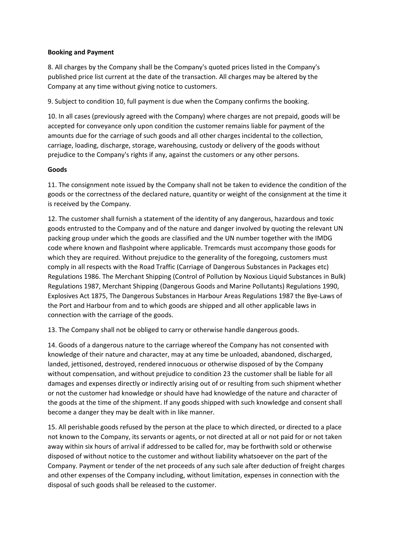## **Booking and Payment**

8. All charges by the Company shall be the Company's quoted prices listed in the Company's published price list current at the date of the transaction. All charges may be altered by the Company at any time without giving notice to customers.

9. Subject to condition 10, full payment is due when the Company confirms the booking.

10. In all cases (previously agreed with the Company) where charges are not prepaid, goods will be accepted for conveyance only upon condition the customer remains liable for payment of the amounts due for the carriage of such goods and all other charges incidental to the collection, carriage, loading, discharge, storage, warehousing, custody or delivery of the goods without prejudice to the Company's rights if any, against the customers or any other persons.

## **Goods**

11. The consignment note issued by the Company shall not be taken to evidence the condition of the goods or the correctness of the declared nature, quantity or weight of the consignment at the time it is received by the Company.

12. The customer shall furnish a statement of the identity of any dangerous, hazardous and toxic goods entrusted to the Company and of the nature and danger involved by quoting the relevant UN packing group under which the goods are classified and the UN number together with the IMDG code where known and flashpoint where applicable. Tremcards must accompany those goods for which they are required. Without prejudice to the generality of the foregoing, customers must comply in all respects with the Road Traffic (Carriage of Dangerous Substances in Packages etc) Regulations 1986. The Merchant Shipping (Control of Pollution by Noxious Liquid Substances in Bulk) Regulations 1987, Merchant Shipping (Dangerous Goods and Marine Pollutants) Regulations 1990, Explosives Act 1875, The Dangerous Substances in Harbour Areas Regulations 1987 the Bye‐Laws of the Port and Harbour from and to which goods are shipped and all other applicable laws in connection with the carriage of the goods.

13. The Company shall not be obliged to carry or otherwise handle dangerous goods.

14. Goods of a dangerous nature to the carriage whereof the Company has not consented with knowledge of their nature and character, may at any time be unloaded, abandoned, discharged, landed, jettisoned, destroyed, rendered innocuous or otherwise disposed of by the Company without compensation, and without prejudice to condition 23 the customer shall be liable for all damages and expenses directly or indirectly arising out of or resulting from such shipment whether or not the customer had knowledge or should have had knowledge of the nature and character of the goods at the time of the shipment. If any goods shipped with such knowledge and consent shall become a danger they may be dealt with in like manner.

15. All perishable goods refused by the person at the place to which directed, or directed to a place not known to the Company, its servants or agents, or not directed at all or not paid for or not taken away within six hours of arrival if addressed to be called for, may be forthwith sold or otherwise disposed of without notice to the customer and without liability whatsoever on the part of the Company. Payment or tender of the net proceeds of any such sale after deduction of freight charges and other expenses of the Company including, without limitation, expenses in connection with the disposal of such goods shall be released to the customer.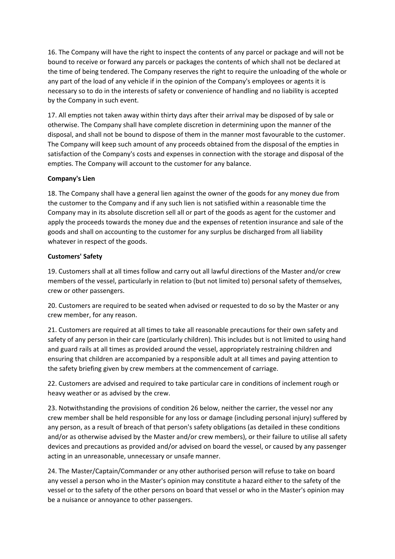16. The Company will have the right to inspect the contents of any parcel or package and will not be bound to receive or forward any parcels or packages the contents of which shall not be declared at the time of being tendered. The Company reserves the right to require the unloading of the whole or any part of the load of any vehicle if in the opinion of the Company's employees or agents it is necessary so to do in the interests of safety or convenience of handling and no liability is accepted by the Company in such event.

17. All empties not taken away within thirty days after their arrival may be disposed of by sale or otherwise. The Company shall have complete discretion in determining upon the manner of the disposal, and shall not be bound to dispose of them in the manner most favourable to the customer. The Company will keep such amount of any proceeds obtained from the disposal of the empties in satisfaction of the Company's costs and expenses in connection with the storage and disposal of the empties. The Company will account to the customer for any balance.

## **Company's Lien**

18. The Company shall have a general lien against the owner of the goods for any money due from the customer to the Company and if any such lien is not satisfied within a reasonable time the Company may in its absolute discretion sell all or part of the goods as agent for the customer and apply the proceeds towards the money due and the expenses of retention insurance and sale of the goods and shall on accounting to the customer for any surplus be discharged from all liability whatever in respect of the goods.

## **Customers' Safety**

19. Customers shall at all times follow and carry out all lawful directions of the Master and/or crew members of the vessel, particularly in relation to (but not limited to) personal safety of themselves, crew or other passengers.

20. Customers are required to be seated when advised or requested to do so by the Master or any crew member, for any reason.

21. Customers are required at all times to take all reasonable precautions for their own safety and safety of any person in their care (particularly children). This includes but is not limited to using hand and guard rails at all times as provided around the vessel, appropriately restraining children and ensuring that children are accompanied by a responsible adult at all times and paying attention to the safety briefing given by crew members at the commencement of carriage.

22. Customers are advised and required to take particular care in conditions of inclement rough or heavy weather or as advised by the crew.

23. Notwithstanding the provisions of condition 26 below, neither the carrier, the vessel nor any crew member shall be held responsible for any loss or damage (including personal injury) suffered by any person, as a result of breach of that person's safety obligations (as detailed in these conditions and/or as otherwise advised by the Master and/or crew members), or their failure to utilise all safety devices and precautions as provided and/or advised on board the vessel, or caused by any passenger acting in an unreasonable, unnecessary or unsafe manner.

24. The Master/Captain/Commander or any other authorised person will refuse to take on board any vessel a person who in the Master's opinion may constitute a hazard either to the safety of the vessel or to the safety of the other persons on board that vessel or who in the Master's opinion may be a nuisance or annoyance to other passengers.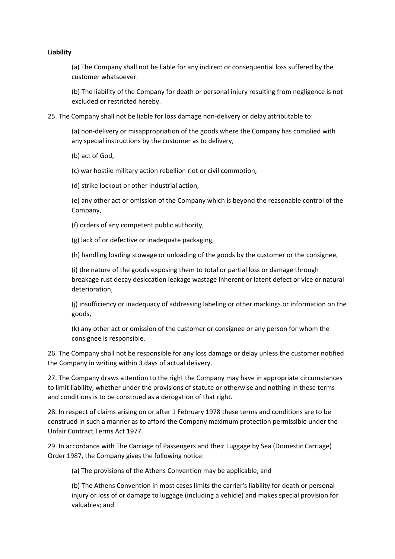#### **Liability**

(a) The Company shall not be liable for any indirect or consequential loss suffered by the customer whatsoever.

(b) The liability of the Company for death or personal injury resulting from negligence is not excluded or restricted hereby.

25. The Company shall not be liable for loss damage non‐delivery or delay attributable to:

(a) non‐delivery or misappropriation of the goods where the Company has complied with any special instructions by the customer as to delivery,

(b) act of God,

(c) war hostile military action rebellion riot or civil commotion,

(d) strike lockout or other industrial action,

(e) any other act or omission of the Company which is beyond the reasonable control of the Company,

(f) orders of any competent public authority,

(g) lack of or defective or inadequate packaging,

(h) handling loading stowage or unloading of the goods by the customer or the consignee,

(i) the nature of the goods exposing them to total or partial loss or damage through breakage rust decay desiccation leakage wastage inherent or latent defect or vice or natural deterioration,

(j) insufficiency or inadequacy of addressing labeling or other markings or information on the goods,

(k) any other act or omission of the customer or consignee or any person for whom the consignee is responsible.

26. The Company shall not be responsible for any loss damage or delay unless the customer notified the Company in writing within 3 days of actual delivery.

27. The Company draws attention to the right the Company may have in appropriate circumstances to limit liability, whether under the provisions of statute or otherwise and nothing in these terms and conditions is to be construed as a derogation of that right.

28. In respect of claims arising on or after 1 February 1978 these terms and conditions are to be construed in such a manner as to afford the Company maximum protection permissible under the Unfair Contract Terms Act 1977.

29. In accordance with The Carriage of Passengers and their Luggage by Sea (Domestic Carriage) Order 1987, the Company gives the following notice:

(a) The provisions of the Athens Convention may be applicable; and

(b) The Athens Convention in most cases limits the carrier's liability for death or personal injury or loss of or damage to luggage (including a vehicle) and makes special provision for valuables; and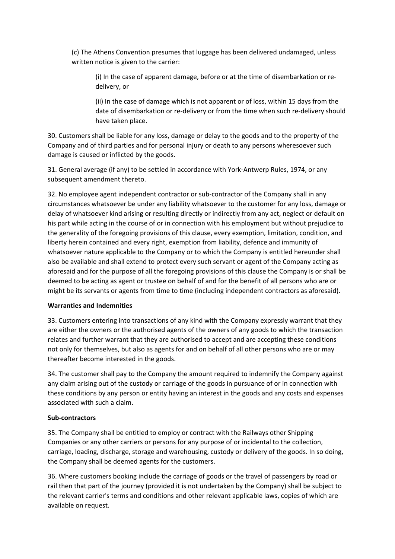(c) The Athens Convention presumes that luggage has been delivered undamaged, unless written notice is given to the carrier:

(i) In the case of apparent damage, before or at the time of disembarkation or re‐ delivery, or

(ii) In the case of damage which is not apparent or of loss, within 15 days from the date of disembarkation or re-delivery or from the time when such re-delivery should have taken place.

30. Customers shall be liable for any loss, damage or delay to the goods and to the property of the Company and of third parties and for personal injury or death to any persons wheresoever such damage is caused or inflicted by the goods.

31. General average (if any) to be settled in accordance with York‐Antwerp Rules, 1974, or any subsequent amendment thereto.

32. No employee agent independent contractor or sub‐contractor of the Company shall in any circumstances whatsoever be under any liability whatsoever to the customer for any loss, damage or delay of whatsoever kind arising or resulting directly or indirectly from any act, neglect or default on his part while acting in the course of or in connection with his employment but without prejudice to the generality of the foregoing provisions of this clause, every exemption, limitation, condition, and liberty herein contained and every right, exemption from liability, defence and immunity of whatsoever nature applicable to the Company or to which the Company is entitled hereunder shall also be available and shall extend to protect every such servant or agent of the Company acting as aforesaid and for the purpose of all the foregoing provisions of this clause the Company is or shall be deemed to be acting as agent or trustee on behalf of and for the benefit of all persons who are or might be its servants or agents from time to time (including independent contractors as aforesaid).

#### **Warranties and Indemnities**

33. Customers entering into transactions of any kind with the Company expressly warrant that they are either the owners or the authorised agents of the owners of any goods to which the transaction relates and further warrant that they are authorised to accept and are accepting these conditions not only for themselves, but also as agents for and on behalf of all other persons who are or may thereafter become interested in the goods.

34. The customer shall pay to the Company the amount required to indemnify the Company against any claim arising out of the custody or carriage of the goods in pursuance of or in connection with these conditions by any person or entity having an interest in the goods and any costs and expenses associated with such a claim.

#### **Sub‐contractors**

35. The Company shall be entitled to employ or contract with the Railways other Shipping Companies or any other carriers or persons for any purpose of or incidental to the collection, carriage, loading, discharge, storage and warehousing, custody or delivery of the goods. In so doing, the Company shall be deemed agents for the customers.

36. Where customers booking include the carriage of goods or the travel of passengers by road or rail then that part of the journey (provided it is not undertaken by the Company) shall be subject to the relevant carrier's terms and conditions and other relevant applicable laws, copies of which are available on request.